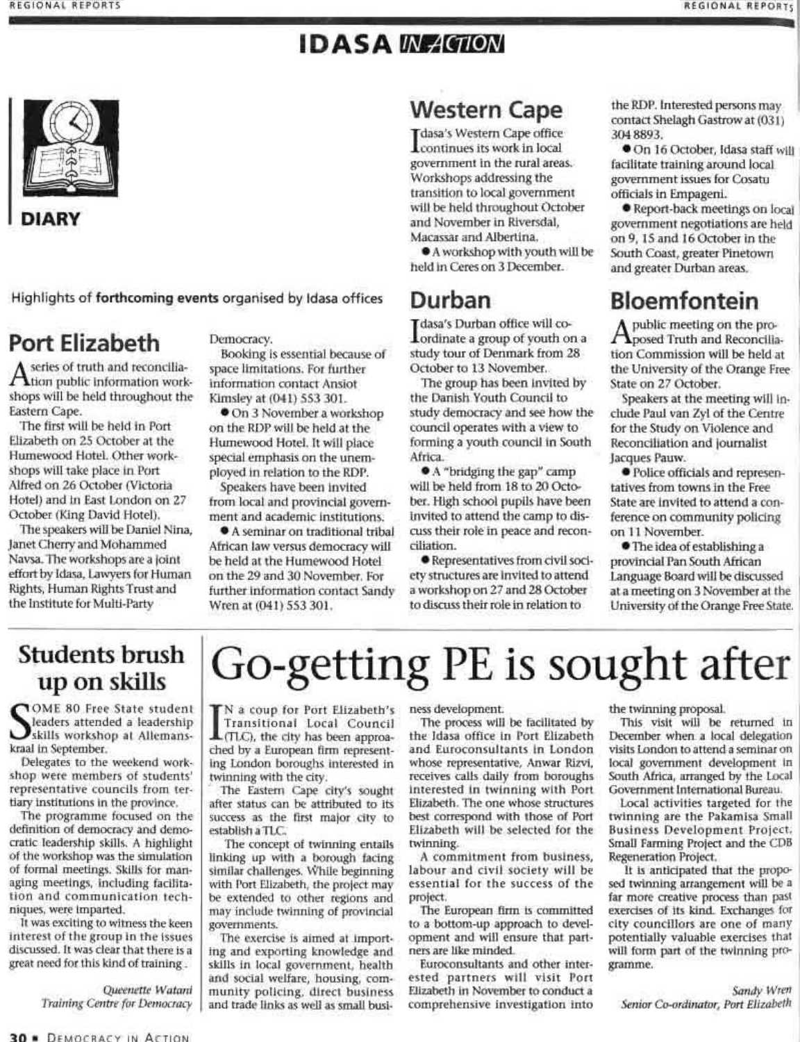#### **IDASA IN AGION**



Highlights of forthcoming events organised by Idasa offices

### **Port Elizabeth**

A series of truth and the work-<br>tion public information workseries of truth and reconciliashops will be held throughout the Eastern Cape.

The first will be held in Port Elizabeth on 25 October at the Humewood Hotel. Other workshops will take place in Port Alfred on 26 October (Victoria Hotel) and in East London on 27 October (King David Hotel).

The speakers will be Daniel Nina, Janet Cherry and Mohammed Navsa. The workshops are a joint effort by Idasa, Lawyers for Human Rights, Human Rights Trust and the Institute for Multi-Party

#### Democracy.

Booking is essential because of space limitations. For further information contact Ansiot Kimsley at (041) 553 301.

On 3 November a workshop on the RDP will be held at the Humewood Hotel. It will place special emphasis on the unemployed in relation to the RDP.

Speakers have been invited from local and provincial government and academic institutions.

A seminar on traditional tribal African law versus democracy will be held at the Humewood Hotel on the 29 and 30 November. For further information contact Sandy Wren at (041) 553 301.

#### **Western Cape**

Idasa's Western Cape office<br>Icontinues its work in local government in the rural areas. Workshops addressing the transition to local government will be held throughout October and November in Riversdal, Macassar and Albertina.

A workshop with youth will be held in Ceres on 3 December.

#### Durban

Idasa's Durban office will co-<br>Iordinate a group of youth on a study tour of Denmark from 28 October to 13 November.

The group has been invited by the Danish Youth Council to study democracy and see how the council operates with a view to forming a youth council in South Africa.

• A "bridging the gap" camp will be held from 18 to 20 October. High school pupils have been invited to attend the camp to discuss their role in peace and reconciliation.

· Representatives from civil society structures are invited to attend a workshop on 27 and 28 October to discuss their role in relation to

Go-getting PE is sought after

the RDP. Interested persons may contact Shelagh Gastrow at (031) 304 8893.

On 16 October, Idasa staff will facilitate training around local government issues for Cosatu officials in Empageni.

Report-back meetings on local government negotiations are held on 9, 15 and 16 October in the South Coast, greater Pinetown and greater Durban areas.

#### **Bloemfontein**

A public meeting on the pro-<br>Aposed Truth and Reconciliation Commission will be held at the University of the Orange Free State on 27 October.

Speakers at the meeting will include Paul van Zyl of the Centre for the Study on Violence and Reconciliation and journalist Jacques Pauw.

· Police officials and representatives from towns in the Free State are invited to attend a conference on community policing on 11 November.

**•** The idea of establishing a provincial Pan South African Language Board will be discussed at a meeting on 3 November at the University of the Orange Free State.

#### **Students brush** up on skills

COME 80 Free State student leaders attended a leadership skills workshop at Allemanskraal in September.

Delegates to the weekend workshop were members of students' representative councils from tertiary institutions in the province.

The programme focused on the definition of democracy and democratic leadership skills. A highlight of the workshop was the simulation of formal meetings. Skills for managing meetings, including facilitation and communication techniques, were imparted.

It was exciting to witness the keen interest of the group in the issues discussed. It was clear that there is a great need for this kind of training.

> Queenette Watani Training Centre for Democracy

N a coup for Port Elizabeth's Transitional Local Council (TLC), the city has been approached by a European firm representing London boroughs interested in twinning with the city.

The Eastern Cape city's sought after status can be attributed to its success as the first major city to establish a TLC.

The concept of twinning entails linking up with a borough facing similar challenges. While beginning with Port Elizabeth, the project may be extended to other regions and may include twinning of provincial governments.

The exercise is aimed at importing and exporting knowledge and skills in local government, health and social welfare, housing, community policing, direct business and trade links as well as small business development.

The process will be facilitated by the Idasa office in Port Elizabeth and Euroconsultants in London whose representative, Anwar Rizvi, receives calls daily from boroughs interested in twinning with Port Elizabeth. The one whose structures best correspond with those of Port Elizabeth will be selected for the twinning.

A commitment from business, labour and civil society will be essential for the success of the project.

The European firm is committed to a bottom-up approach to development and will ensure that partners are like minded.

Euroconsultants and other interested partners will visit Port Elizabeth in November to conduct a comprehensive investigation into the twinning proposal.

This visit will be returned in December when a local delegation visits London to attend a seminar on local government development in South Africa, arranged by the Local Government International Bureau.

Local activities targeted for the twinning are the Pakamisa Small Business Development Project. Small Farming Project and the CDB Regeneration Project.

It is anticipated that the proposed twinning arrangement will be a far more creative process than past exercises of its kind. Exchanges for city councillors are one of many potentially valuable exercises that will form part of the twinning programme.

Sandy Wren Senior Co-ordinator, Port Elizabeth